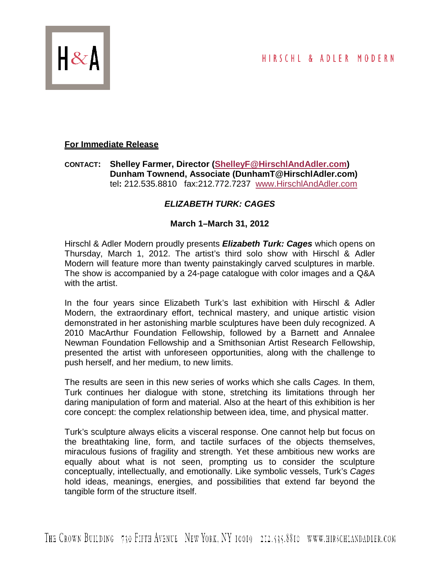

## **For Immediate Release**

## **CONTACT: Shelley Farmer, Director [\(ShelleyF@HirschlAndAdler.com\)](mailto:ShelleyF@HirschlAndAdler.com) Dunham Townend, Associate (DunhamT@HirschlAdler.com)** tel**:** 212.535.8810 fax:212.772.7237 [www.HirschlAndAdler.com](http://www.hirschlandadler.com/)

## *ELIZABETH TURK: CAGES*

## **March 1–March 31, 2012**

Hirschl & Adler Modern proudly presents *Elizabeth Turk: Cages* which opens on Thursday, March 1, 2012. The artist's third solo show with Hirschl & Adler Modern will feature more than twenty painstakingly carved sculptures in marble. The show is accompanied by a 24-page catalogue with color images and a Q&A with the artist.

In the four years since Elizabeth Turk's last exhibition with Hirschl & Adler Modern, the extraordinary effort, technical mastery, and unique artistic vision demonstrated in her astonishing marble sculptures have been duly recognized. A 2010 MacArthur Foundation Fellowship, followed by a Barnett and Annalee Newman Foundation Fellowship and a Smithsonian Artist Research Fellowship, presented the artist with unforeseen opportunities, along with the challenge to push herself, and her medium, to new limits.

The results are seen in this new series of works which she calls *Cages.* In them, Turk continues her dialogue with stone, stretching its limitations through her daring manipulation of form and material. Also at the heart of this exhibition is her core concept: the complex relationship between idea, time, and physical matter.

Turk's sculpture always elicits a visceral response. One cannot help but focus on the breathtaking line, form, and tactile surfaces of the objects themselves, miraculous fusions of fragility and strength. Yet these ambitious new works are equally about what is not seen, prompting us to consider the sculpture conceptually, intellectually, and emotionally. Like symbolic vessels, Turk's *Cages* hold ideas, meanings, energies, and possibilities that extend far beyond the tangible form of the structure itself.